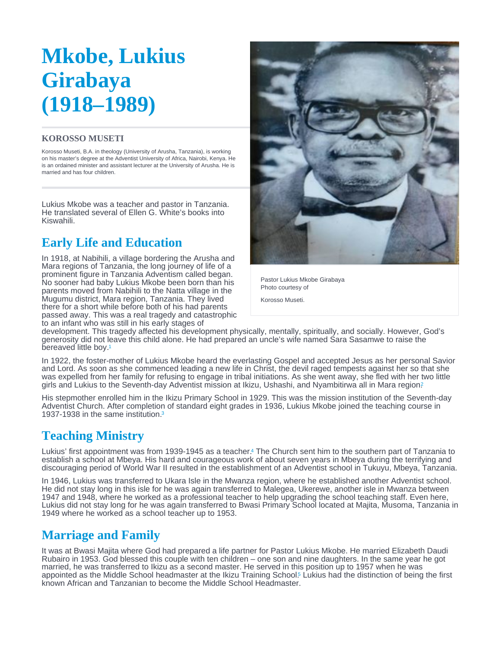# <span id="page-0-0"></span>Mkobe, Lukius Girabaya (1918–1989)

#### KOROSSO MUSETI

Korosso Museti, B.A. in theology (University of Arusha, Tanzania), is working on his master's degree at the Adventist University of Africa, Nairobi, Kenya. He is an ordained minister and assistant lecturer at the University of Arusha. He is married and has four children.

Lukius Mkobe was a teacher and pastor in Tanzania. He translated several of Ellen G. White's books into Kiswahili.

# Early Life and Education

In 1918, at Nabihili, a village bordering the Arusha and Mara regions of Tanzania, the long journey of life of a prominent figure in Tanzania Adventism called began. No sooner had baby Lukius Mkobe been born than his parents moved from Nabihili to the Natta village in the Mugumu district, Mara region, Tanzania. They lived there for a short while before both of his had parents passed away. This was a real tragedy and catastrophic to an infant who was still in his early stages of

Pastor Lukius Mkobe Girabaya Photo courtesy of

Korosso Museti.

development. This tragedy affected his development physically, mentally, spiritually, and socially. However, God's generosity did not leave this child alone. He had prepared an uncle's wife named Sara Sasamwe to raise the bereaved little boy.[1](#page-2-0)

In 1922, the foster-mother of Lukius Mkobe heard the everlasting Gospel and accepted Jesus as her personal Savior and Lord. As soon as she commenced leading a new life in Christ, the devil raged tempests against her so that she was expelled from her family for refusing to engage in tribal initiations. As she went away, she fled with her two little girls and Lukius to the Seventh-day Adventist mission at Ikizu, Ushashi, and Nyambitirwa all in Mara region?

His stepmother enrolled him in the Ikizu Primary School in 1929. This was the mission institution of the Seventh-day Adventist Church. After completion of standard eight grades in 1936, Lukius Mkobe joined the teaching course in 19[3](#page-2-0)7-1938 in the same institution.<sup>3</sup>

# Teaching Ministry

Lukius' first appointment was from 1939-1945 as a teacher[.](#page-2-0)<sup>4</sup> The Church sent him to the southern part of Tanzania to establish a school at Mbeya. His hard and courageous work of about seven years in Mbeya during the terrifying and discouraging period of World War II resulted in the establishment of an Adventist school in Tukuyu, Mbeya, Tanzania.

In 1946, Lukius was transferred to Ukara Isle in the Mwanza region, where he established another Adventist school. He did not stay long in this isle for he was again transferred to Malegea, Ukerewe, another isle in Mwanza between 1947 and 1948, where he worked as a professional teacher to help upgrading the school teaching staff. Even here, Lukius did not stay long for he was again transferred to Bwasi Primary School located at Majita, Musoma, Tanzania in 1949 where he worked as a school teacher up to 1953.

## Marriage and Family

It was at Bwasi Majita where God had prepared a life partner for Pastor Lukius Mkobe. He married Elizabeth Daudi Rubairo in 1953. God blessed this couple with ten children – one son and nine daughters. In the same year he got married, he was transferred to Ikizu as a second master. He served in this position up to 1957 when he was appointed as the Middle School headmaster at the Ikizu Training School<sup>5</sup> Lukius had the distinction of being the first known African and Tanzanian to become the Middle School Headmaster.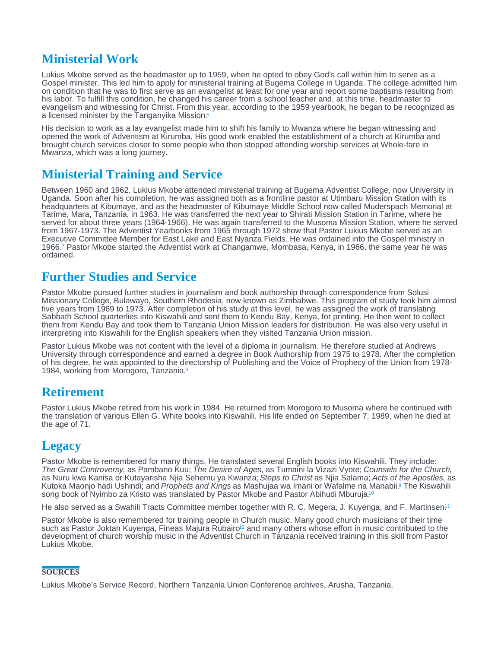# <span id="page-1-0"></span>Ministerial Work

Lukius Mkobe served as the headmaster up to 1959, when he opted to obey God's call within him to serve as a Gospel minister. This led him to apply for ministerial training at Bugema College in Uganda. The college admitted him on condition that he was to first serve as an evangelist at least for one year and report some baptisms resulting from his labor. To fulfill this condition, he changed his career from a school teacher and, at this time, headmaster to evangelism and witnessing for Christ. From this year, according to the 1959 yearbook, he began to be recognized as a licensed minister by the Tanganyika Mission.[6](#page-2-0)

His decision to work as a lay evangelist made him to shift his family to Mwanza where he began witnessing and opened the work of Adventism at Kirumba. His good work enabled the establishment of a church at Kirumba and brought church services closer to some people who then stopped attending worship services at Whole-fare in Mwanza, which was a long journey.

#### Ministerial Training and Service

Between 1960 and 1962, Lukius Mkobe attended ministerial training at Bugema Adventist College, now University in Uganda. Soon after his completion, he was assigned both as a frontline pastor at Utimbaru Mission Station with its headquarters at Kibumaye, and as the headmaster of Kibumaye Middle School now called Muderspach Memorial at Tarime, Mara, Tanzania, in 1963. He was transferred the next year to Shirati Mission Station in Tarime, where he served for about three years (1964-1966). He was again transferred to the Musoma Mission Station, where he served from 1967-1973. The Adventist Yearbooks from 1965 through 1972 show that Pastor Lukius Mkobe served as an Executive Committee Member for East Lake and East Nyanza Fields. He was ordained into the Gospel ministry in 1966.7 Pastor Mkobe started the Adventist work at Changamwe, Mombasa, Kenya, in 1966, the same year he was ordained.

#### Further Studies and Service

Pastor Mkobe pursued further studies in journalism and book authorship through correspondence from Solusi Missionary College, Bulawayo, Southern Rhodesia, now known as Zimbabwe. This program of study took him almost five years from 1969 to 1973. After completion of his study at this level, he was assigned the work of translating Sabbath School quarterlies into Kiswahili and sent them to Kendu Bay, Kenya, for printing. He then went to collect them from Kendu Bay and took them to Tanzania Union Mission leaders for distribution. He was also very useful in interpreting into Kiswahili for the English speakers when they visited Tanzania Union mission.

Pastor Lukius Mkobe was not content with the level of a diploma in journalism. He therefore studied at Andrews University through correspondence and earned a degree in Book Authorship from 1975 to 1978. After the completion of his degree, he was appointed to the directorship of Publishing and the Voice of Prophecy of the Union from 1978- 19[8](#page-2-0)4, working from Morogoro, Tanzania.<sup>8</sup>

## Retirement

Pastor Lukius Mkobe retired from his work in 1984. He returned from Morogoro to Musoma where he continued with the translation of various Ellen G. White books into Kiswahili. His life ended on September 7, 1989, when he died at the age of 71.

## **Legacy**

Pastor Mkobe is remembered for many things. He translated several English books into Kiswahili. They include: The Great Controversy, as Pambano Kuu; The Desire of Ages, as Tumaini la Vizazi Vyote; Counsels for the Church, as Nuru kwa Kanisa or Kutayarisha Njia Sehemu ya Kwanza; Steps to Christ as Njia Salama; Acts of the Apostles, as Kutoka Maonjo hadi Ushindi; and Prophets and Kings as Mashujaa wa Imani or Wafalme na Manabii.<sup>9</sup> The Kiswahili song book of Nyimbo za Kristo was translated by Pastor Mkobe and Pastor Abihudi Mburuja. [10](#page-2-0)

He also served as a Swahili Tracts Committee member together with R. C. Megera, J. Kuyenga, and F. Martinsen.<sup>[11](#page-2-0)</sup>

Pastor Mkobe is also remembered for training people in Church music. Many good church musicians of their time such as Pastor Joktan Kuyenga, Fineas Majura Rubairo<sup>12</sup> and many others whose effort in music contributed t[o](#page-2-0) the development of church worship music in the Adventist Church in Tanzania received training in this skill from Pastor Lukius Mkobe.

#### **SOURCES**

Lukius Mkobe's Service Record, Northern Tanzania Union Conference archives, Arusha, Tanzania.